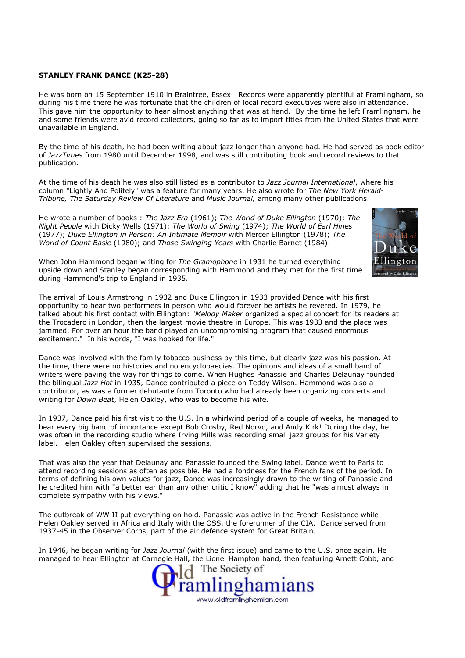## STANLEY FRANK DANCE (K25-28)

He was born on 15 September 1910 in Braintree, Essex. Records were apparently plentiful at Framlingham, so during his time there he was fortunate that the children of local record executives were also in attendance. This gave him the opportunity to hear almost anything that was at hand. By the time he left Framlingham, he and some friends were avid record collectors, going so far as to import titles from the United States that were unavailable in England.

By the time of his death, he had been writing about jazz longer than anyone had. He had served as book editor of JazzTimes from 1980 until December 1998, and was still contributing book and record reviews to that publication.

At the time of his death he was also still listed as a contributor to Jazz Journal International, where his column "Lightly And Politely" was a feature for many years. He also wrote for The New York Herald-Tribune, The Saturday Review Of Literature and Music Journal, among many other publications.

He wrote a number of books : The Jazz Era (1961); The World of Duke Ellington (1970); The Night People with Dicky Wells (1971); The World of Swing (1974); The World of Earl Hines (1977); Duke Ellington in Person: An Intimate Memoir with Mercer Ellington (1978); The World of Count Basie (1980); and Those Swinging Years with Charlie Barnet (1984).



When John Hammond began writing for The Gramophone in 1931 he turned everything upside down and Stanley began corresponding with Hammond and they met for the first time during Hammond's trip to England in 1935.

The arrival of Louis Armstrong in 1932 and Duke Ellington in 1933 provided Dance with his first opportunity to hear two performers in person who would forever be artists he revered. In 1979, he talked about his first contact with Ellington: "Melody Maker organized a special concert for its readers at the Trocadero in London, then the largest movie theatre in Europe. This was 1933 and the place was jammed. For over an hour the band played an uncompromising program that caused enormous excitement." In his words, "I was hooked for life."

Dance was involved with the family tobacco business by this time, but clearly jazz was his passion. At the time, there were no histories and no encyclopaedias. The opinions and ideas of a small band of writers were paving the way for things to come. When Hughes Panassie and Charles Delaunay founded the bilingual Jazz Hot in 1935, Dance contributed a piece on Teddy Wilson. Hammond was also a contributor, as was a former debutante from Toronto who had already been organizing concerts and writing for *Down Beat*, Helen Oakley, who was to become his wife.

In 1937, Dance paid his first visit to the U.S. In a whirlwind period of a couple of weeks, he managed to hear every big band of importance except Bob Crosby, Red Norvo, and Andy Kirk! During the day, he was often in the recording studio where Irving Mills was recording small jazz groups for his Variety label. Helen Oakley often supervised the sessions.

That was also the year that Delaunay and Panassie founded the Swing label. Dance went to Paris to attend recording sessions as often as possible. He had a fondness for the French fans of the period. In terms of defining his own values for jazz, Dance was increasingly drawn to the writing of Panassie and he credited him with "a better ear than any other critic I know" adding that he "was almost always in complete sympathy with his views."

The outbreak of WW II put everything on hold. Panassie was active in the French Resistance while Helen Oakley served in Africa and Italy with the OSS, the forerunner of the CIA. Dance served from 1937-45 in the Observer Corps, part of the air defence system for Great Britain.

In 1946, he began writing for Jazz Journal (with the first issue) and came to the U.S. once again. He managed to hear Ellington at Carnegie Hall, the Lionel Hampton band, then featuring Arnett Cobb, and

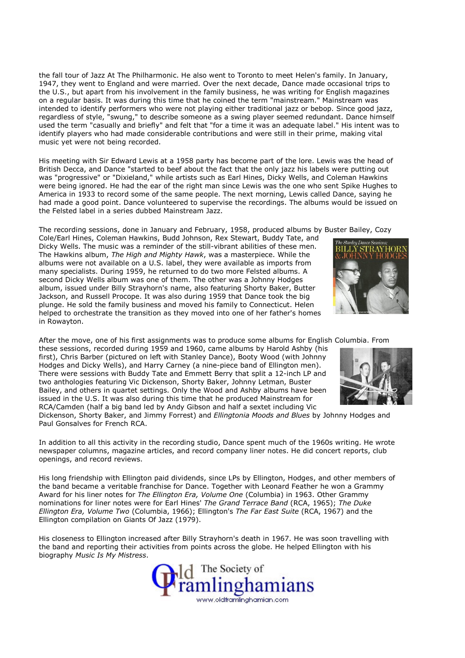the fall tour of Jazz At The Philharmonic. He also went to Toronto to meet Helen's family. In January, 1947, they went to England and were married. Over the next decade, Dance made occasional trips to the U.S., but apart from his involvement in the family business, he was writing for English magazines on a regular basis. It was during this time that he coined the term "mainstream." Mainstream was intended to identify performers who were not playing either traditional jazz or bebop. Since good jazz, regardless of style, "swung," to describe someone as a swing player seemed redundant. Dance himself used the term "casually and briefly" and felt that "for a time it was an adequate label." His intent was to identify players who had made considerable contributions and were still in their prime, making vital music yet were not being recorded.

His meeting with Sir Edward Lewis at a 1958 party has become part of the lore. Lewis was the head of British Decca, and Dance "started to beef about the fact that the only jazz his labels were putting out was "progressive" or "Dixieland," while artists such as Earl Hines, Dicky Wells, and Coleman Hawkins were being ignored. He had the ear of the right man since Lewis was the one who sent Spike Hughes to America in 1933 to record some of the same people. The next morning, Lewis called Dance, saying he had made a good point. Dance volunteered to supervise the recordings. The albums would be issued on the Felsted label in a series dubbed Mainstream Jazz.

The recording sessions, done in January and February, 1958, produced albums by Buster Bailey, Cozy

Cole/Earl Hines, Coleman Hawkins, Budd Johnson, Rex Stewart, Buddy Tate, and Dicky Wells. The music was a reminder of the still-vibrant abilities of these men. The Hawkins album, The High and Mighty Hawk, was a masterpiece. While the albums were not available on a U.S. label, they were available as imports from many specialists. During 1959, he returned to do two more Felsted albums. A second Dicky Wells album was one of them. The other was a Johnny Hodges album, issued under Billy Strayhorn's name, also featuring Shorty Baker, Butter Jackson, and Russell Procope. It was also during 1959 that Dance took the big plunge. He sold the family business and moved his family to Connecticut. Helen helped to orchestrate the transition as they moved into one of her father's homes in Rowayton.

After the move, one of his first assignments was to produce some albums for English Columbia. From

these sessions, recorded during 1959 and 1960, came albums by Harold Ashby (his first), Chris Barber (pictured on left with Stanley Dance), Booty Wood (with Johnny Hodges and Dicky Wells), and Harry Carney (a nine-piece band of Ellington men). There were sessions with Buddy Tate and Emmett Berry that split a 12-inch LP and two anthologies featuring Vic Dickenson, Shorty Baker, Johnny Letman, Buster Bailey, and others in quartet settings. Only the Wood and Ashby albums have been issued in the U.S. It was also during this time that he produced Mainstream for RCA/Camden (half a big band led by Andy Gibson and half a sextet including Vic

Dickenson, Shorty Baker, and Jimmy Forrest) and Ellingtonia Moods and Blues by Johnny Hodges and Paul Gonsalves for French RCA.

In addition to all this activity in the recording studio, Dance spent much of the 1960s writing. He wrote newspaper columns, magazine articles, and record company liner notes. He did concert reports, club openings, and record reviews.

His long friendship with Ellington paid dividends, since LPs by Ellington, Hodges, and other members of the band became a veritable franchise for Dance. Together with Leonard Feather he won a Grammy Award for his liner notes for The Ellington Era, Volume One (Columbia) in 1963. Other Grammy nominations for liner notes were for Earl Hines' The Grand Terrace Band (RCA, 1965); The Duke Ellington Era, Volume Two (Columbia, 1966); Ellington's The Far East Suite (RCA, 1967) and the Ellington compilation on Giants Of Jazz (1979).

His closeness to Ellington increased after Billy Strayhorn's death in 1967. He was soon travelling with the band and reporting their activities from points across the globe. He helped Ellington with his biography Music Is My Mistress.



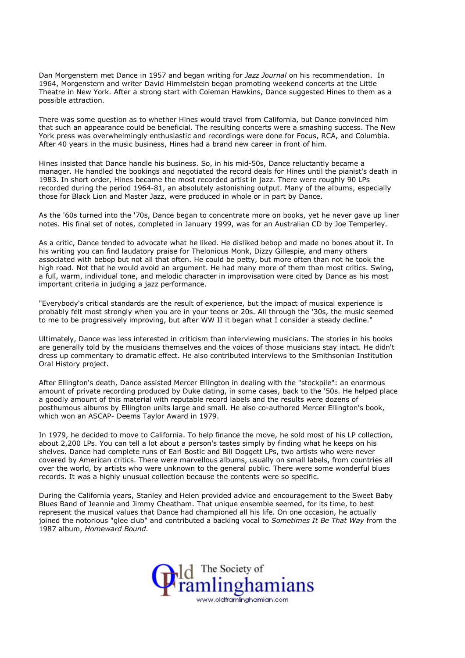Dan Morgenstern met Dance in 1957 and began writing for Jazz Journal on his recommendation. In 1964, Morgenstern and writer David Himmelstein began promoting weekend concerts at the Little Theatre in New York. After a strong start with Coleman Hawkins, Dance suggested Hines to them as a possible attraction.

There was some question as to whether Hines would travel from California, but Dance convinced him that such an appearance could be beneficial. The resulting concerts were a smashing success. The New York press was overwhelmingly enthusiastic and recordings were done for Focus, RCA, and Columbia. After 40 years in the music business, Hines had a brand new career in front of him.

Hines insisted that Dance handle his business. So, in his mid-50s, Dance reluctantly became a manager. He handled the bookings and negotiated the record deals for Hines until the pianist's death in 1983. In short order, Hines became the most recorded artist in jazz. There were roughly 90 LPs recorded during the period 1964-81, an absolutely astonishing output. Many of the albums, especially those for Black Lion and Master Jazz, were produced in whole or in part by Dance.

As the '60s turned into the '70s, Dance began to concentrate more on books, yet he never gave up liner notes. His final set of notes, completed in January 1999, was for an Australian CD by Joe Temperley.

As a critic, Dance tended to advocate what he liked. He disliked bebop and made no bones about it. In his writing you can find laudatory praise for Thelonious Monk, Dizzy Gillespie, and many others associated with bebop but not all that often. He could be petty, but more often than not he took the high road. Not that he would avoid an argument. He had many more of them than most critics. Swing, a full, warm, individual tone, and melodic character in improvisation were cited by Dance as his most important criteria in judging a jazz performance.

"Everybody's critical standards are the result of experience, but the impact of musical experience is probably felt most strongly when you are in your teens or 20s. All through the '30s, the music seemed to me to be progressively improving, but after WW II it began what I consider a steady decline."

Ultimately, Dance was less interested in criticism than interviewing musicians. The stories in his books are generally told by the musicians themselves and the voices of those musicians stay intact. He didn't dress up commentary to dramatic effect. He also contributed interviews to the Smithsonian Institution Oral History project.

After Ellington's death, Dance assisted Mercer Ellington in dealing with the "stockpile": an enormous amount of private recording produced by Duke dating, in some cases, back to the '50s. He helped place a goodly amount of this material with reputable record labels and the results were dozens of posthumous albums by Ellington units large and small. He also co-authored Mercer Ellington's book, which won an ASCAP- Deems Taylor Award in 1979.

In 1979, he decided to move to California. To help finance the move, he sold most of his LP collection, about 2,200 LPs. You can tell a lot about a person's tastes simply by finding what he keeps on his shelves. Dance had complete runs of Earl Bostic and Bill Doggett LPs, two artists who were never covered by American critics. There were marvellous albums, usually on small labels, from countries all over the world, by artists who were unknown to the general public. There were some wonderful blues records. It was a highly unusual collection because the contents were so specific.

During the California years, Stanley and Helen provided advice and encouragement to the Sweet Baby Blues Band of Jeannie and Jimmy Cheatham. That unique ensemble seemed, for its time, to best represent the musical values that Dance had championed all his life. On one occasion, he actually joined the notorious "glee club" and contributed a backing vocal to Sometimes It Be That Way from the 1987 album, Homeward Bound.